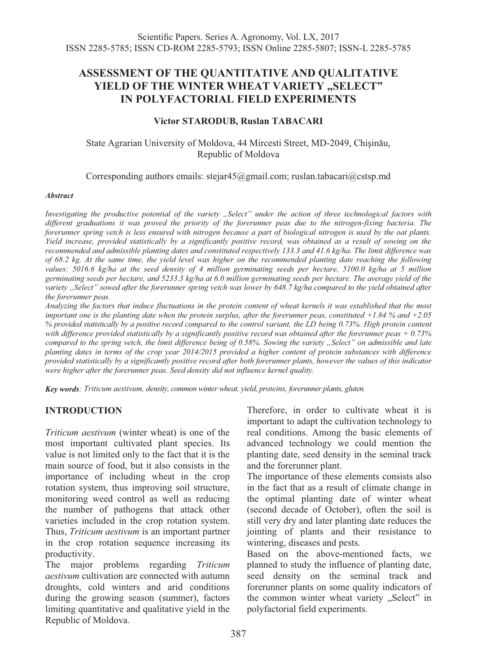# **ASSESSMENT OF THE QUANTITATIVE AND QUALITATIVE YIELD OF THE WINTER WHEAT VARIETY "SELECT" IN POLYFACTORIAL FIELD EXPERIMENTS**

#### **Victor STARODUB, Ruslan TABACARI**

State Agrarian University of Moldova, 44 Mircesti Street, MD-2049, Chişinău, Republic of Moldova

Corresponding authors emails: stejar45@gmail.com; ruslan.tabacari@cstsp.md

#### *Abstract*

Investigating the productive potential of the variety "Select" under the action of three technological factors with different graduations it was proved the priority of the forerunner peas due to the nitrogen-fixing bacteria. The *forerunner spring vetch is less ensured with nitrogen because a part of biological nitrogen is used by the oat plants. Yield increase, provided statistically by a significantly positive record, was obtained as a result of sowing on the recommended and admissible planting dates and constituted respectively 133.3 and 41.6 kg/ha. The limit difference was of 68.2 kg. At the same time, the yield level was higher on the recommended planting date reaching the following values: 5016.6 kg/ha at the seed density of 4 million germinating seeds per hectare, 5100.0 kg/ha at 5 million germinating seeds per hectare, and 5233.3 kg/ha at 6.0 million germinating seeds per hectare. The average yield of the variety "Select" sowed after the forerunner spring vetch was lower by 648.7 kg/ha compared to the yield obtained after the forerunner peas.* 

*Analyzing the factors that induce fluctuations in the protein content of wheat kernels it was established that the most important one is the planting date when the protein surplus, after the forerunner peas, constituted +1.84 % and +2.05 % provided statistically by a positive record compared to the control variant, the LD being 0.73%. High protein content with difference provided statistically by a significantly positive record was obtained after the forerunner peas + 0.73% compared to the spring vetch, the limit difference being of 0.58%. Sowing the variety "Select" on admissible and late planting dates in terms of the crop year 2014/2015 provided a higher content of protein substances with difference provided statistically by a significantly positive record after both forerunner plants, however the values of this indicator were higher after the forerunner peas. Seed density did not influence kernel quality.* 

*Key words: Triticum aestivum, density, common winter wheat, yield, proteins, forerunner plants, gluten.* 

# **INTRODUCTION**

*Triticum aestivum* (winter wheat) is one of the most important cultivated plant species. Its value is not limited only to the fact that it is the main source of food, but it also consists in the importance of including wheat in the crop rotation system, thus improving soil structure, monitoring weed control as well as reducing the number of pathogens that attack other varieties included in the crop rotation system. Thus, *Triticum aestivum* is an important partner in the crop rotation sequence increasing its productivity.

The major problems regarding *Triticum aestivum* cultivation are connected with autumn droughts, cold winters and arid conditions during the growing season (summer), factors limiting quantitative and qualitative yield in the Republic of Moldova.

Therefore, in order to cultivate wheat it is important to adapt the cultivation technology to real conditions. Among the basic elements of advanced technology we could mention the planting date, seed density in the seminal track and the forerunner plant.

The importance of these elements consists also in the fact that as a result of climate change in the optimal planting date of winter wheat (second decade of October), often the soil is still very dry and later planting date reduces the jointing of plants and their resistance to wintering, diseases and pests.

Based on the above-mentioned facts, we planned to study the influence of planting date, seed density on the seminal track and forerunner plants on some quality indicators of the common winter wheat variety "Select" in polyfactorial field experiments.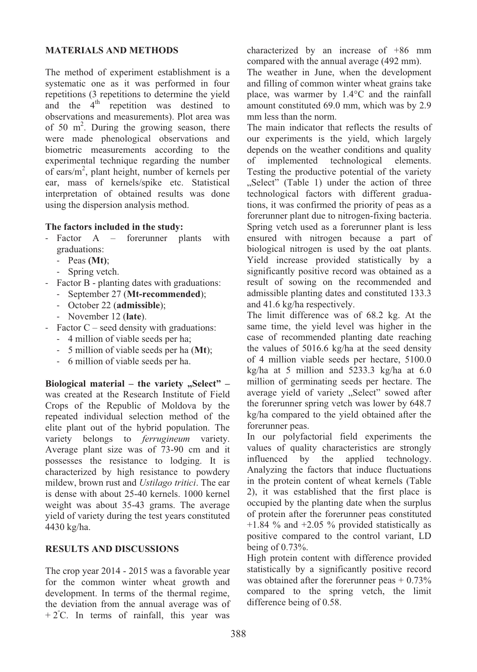### **MATERIALS AND METHODS**

The method of experiment establishment is a systematic one as it was performed in four repetitions (3 repetitions to determine the yield and the  $4<sup>th</sup>$  repetition was destined to observations and measurements). Plot area was of 50  $m^2$ . During the growing season, there were made phenological observations and biometric measurements according to the experimental technique regarding the number of ears/m<sup>2</sup>, plant height, number of kernels per ear, mass of kernels/spike etc. Statistical interpretation of obtained results was done using the dispersion analysis method.

### **The factors included in the study:**

- Factor A forerunner plants with graduations:
	- Peas **(Mt)**;
	- Spring vetch.
- Factor B planting dates with graduations:
	- September 27 (**Mt-recommended**);
	- October 22 (**admissible**);
	- November 12 (**late**).
- Factor C seed density with graduations:
	- 4 million of viable seeds per ha;
	- 5 million of viable seeds per ha (**Mt**);
	- 6 million of viable seeds per ha.

**Biological material – the variety "Select" –** was created at the Research Institute of Field Crops of the Republic of Moldova by the repeated individual selection method of the elite plant out of the hybrid population. The variety belongs to *ferrugineum* variety. Average plant size was of 73-90 cm and it possesses the resistance to lodging. It is characterized by high resistance to powdery mildew, brown rust and *Ustilago tritici*. The ear is dense with about 25-40 kernels. 1000 kernel weight was about 35-43 grams. The average yield of variety during the test years constituted 4430 kg/ha.

# **RESULTS AND DISCUSSIONS**

The crop year 2014 - 2015 was a favorable year for the common winter wheat growth and development. In terms of the thermal regime, the deviation from the annual average was of  $+2^{\circ}$ C. In terms of rainfall, this year was characterized by an increase of +86 mm compared with the annual average (492 mm).

The weather in June, when the development and filling of common winter wheat grains take place, was warmer by 1.4°C and the rainfall amount constituted 69.0 mm, which was by 2.9 mm less than the norm.

The main indicator that reflects the results of our experiments is the yield, which largely depends on the weather conditions and quality<br>of implemented technological elements. technological Testing the productive potential of the variety "Select" (Table 1) under the action of three technological factors with different graduations, it was confirmed the priority of peas as a forerunner plant due to nitrogen-fixing bacteria. Spring vetch used as a forerunner plant is less ensured with nitrogen because a part of biological nitrogen is used by the oat plants. Yield increase provided statistically by a significantly positive record was obtained as a result of sowing on the recommended and admissible planting dates and constituted 133.3 and 41.6 kg/ha respectively.

The limit difference was of 68.2 kg. At the same time, the yield level was higher in the case of recommended planting date reaching the values of 5016.6 kg/ha at the seed density of 4 million viable seeds per hectare, 5100.0 kg/ha at 5 million and 5233.3 kg/ha at 6.0 million of germinating seeds per hectare. The average yield of variety "Select" sowed after the forerunner spring vetch was lower by 648.7 kg/ha compared to the yield obtained after the forerunner peas.

In our polyfactorial field experiments the values of quality characteristics are strongly influenced by the applied technology. Analyzing the factors that induce fluctuations in the protein content of wheat kernels (Table 2), it was established that the first place is occupied by the planting date when the surplus of protein after the forerunner peas constituted  $+1.84$  % and  $+2.05$  % provided statistically as positive compared to the control variant, LD being of 0.73%.

High protein content with difference provided statistically by a significantly positive record was obtained after the forerunner peas  $+0.73\%$ compared to the spring vetch, the limit difference being of 0.58.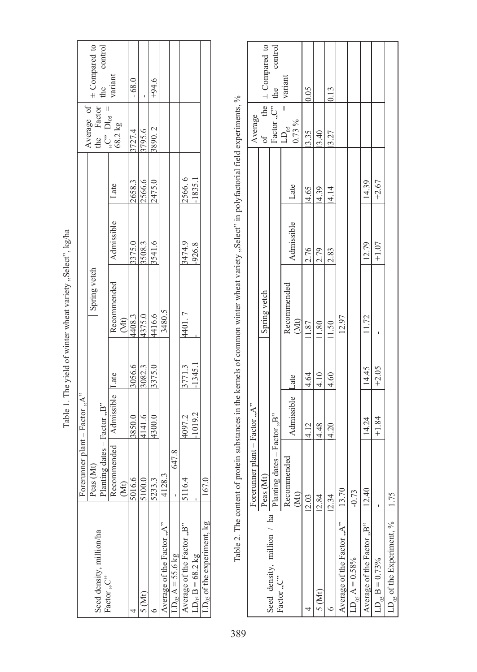| ֖֖֖ׅׅ֖֚֚֚֚֚֚֚֚֚֚֚֚֚֚֚֚֚֚֚֚֚֚֚֚֚֚֚֚֚֚֡֬֝֝֝<br>i<br>ı<br>Ï                                               |
|--------------------------------------------------------------------------------------------------------|
| i<br>I<br>֕<br>I<br>í<br>j                                                                             |
| I<br>ı<br>l<br>֖֖֖֖֪ׅ֖֧ׅ֖֧ׅ֪ׅ֖֧ׅ֪֪ׅ֧֚֚֚֚֚֚֚֚֚֚֚֚֚֚֚֚֚֚֚֚֚֚֚֚֚֚֚֬֝֝֝֬֝֝֬֓֬֝֬<br>l<br>$\overline{a}$     |
| ֧֧֧֧֧֧֧ׅ֧֧ׅ֧֧֧ׅ֧֧֧֧֧֧֧֧֧֚֚֚֚֚֚֚֚֚֚֚֚֚֚֚֚֚֚֚֚֚֚֚֚֚֚֚֚֚֝֝֓֝֓֝֓֝֓֝֬֜֝֬֜֝֓֝֬֜֝֬֝֬֝֬֝֬֝֬֜֝֬֝<br>I<br>I<br>I |
| I<br>ì<br>l                                                                                            |
|                                                                                                        |
| ï                                                                                                      |
| I<br>١<br>I                                                                                            |
| ı<br>ł<br>l<br>j                                                                                       |
|                                                                                                        |
| í<br>١                                                                                                 |

Table 2. The content of protein substances in the kernels of common winter wheat variety. Select" in polyfactorial field experiments,  $\%$ Table 2. The content of protein substances in the kernels of common winter wheat variety "Select" in polyfactorial field experiments, %

|                                           |                                   |            |         | n ' 'en man de la communication in 1972 (in 1972) is a man de la communication de la communication de la communication de la communication de la communication de la communication de la communication de la communication de |            |         |                                                                                                              |                                          |
|-------------------------------------------|-----------------------------------|------------|---------|-------------------------------------------------------------------------------------------------------------------------------------------------------------------------------------------------------------------------------|------------|---------|--------------------------------------------------------------------------------------------------------------|------------------------------------------|
|                                           | Forerunner plant - Factor " $A$ " |            |         |                                                                                                                                                                                                                               |            |         | Average                                                                                                      |                                          |
|                                           | Peas $(N$                         |            |         | Spring vetch                                                                                                                                                                                                                  |            |         |                                                                                                              | the $\vert \pm$ Compared to              |
| Seed density, million / ha<br>Factor "C"  | Planting dates - Factor "B"       |            |         |                                                                                                                                                                                                                               |            |         | $\left\{ \begin{array}{ll} \text{of} & \text{true} \\ \text{Factor, } C^{\text{v}} \end{array} \right\}$ the | control                                  |
|                                           | Recommended<br>(Mt)               | Admissible | Late    | Recommended<br>(Mt)                                                                                                                                                                                                           | Admissible | Late    | $LD_{05}$<br>$0.73\%$                                                                                        | $\ensuremath{\mathsf{v}}\xspace$ variant |
|                                           | 2.03                              | 4.12       | 4.64    | 1.87                                                                                                                                                                                                                          | 2.76       | 4.65    | 3.35                                                                                                         | 0.05                                     |
| 5 (Mt)                                    | 2.84                              | 4.48       | 4.10    | $^{80}$                                                                                                                                                                                                                       | 2.79       | 4.39    | 3.40                                                                                                         |                                          |
|                                           | 2.34                              | 4.20       | 4.60    | 1.50                                                                                                                                                                                                                          | 2.83       | 4.14    | 3.27                                                                                                         | 0.13                                     |
| Average of the Factor "A"                 | 13.70                             |            |         | 12.97                                                                                                                                                                                                                         |            |         |                                                                                                              |                                          |
| $\text{LD}_{\rm 05} \, \text{A} = 0.58\%$ | $-0.73$                           |            |         |                                                                                                                                                                                                                               |            |         |                                                                                                              |                                          |
| Average of the Factor "B"                 | 12.40                             | 14.24      | 14.45   | 11.72                                                                                                                                                                                                                         | 12.79      | 14.39   |                                                                                                              |                                          |
| $LD_{05} B = 0.73\%$                      |                                   | $+1.84$    | $+2.05$ |                                                                                                                                                                                                                               | $+1.07$    | $+2.67$ |                                                                                                              |                                          |
| $LD_{05}$ of the Experiment, $\%$         | 1.75                              |            |         |                                                                                                                                                                                                                               |            |         |                                                                                                              |                                          |
|                                           |                                   |            |         |                                                                                                                                                                                                                               |            |         |                                                                                                              |                                          |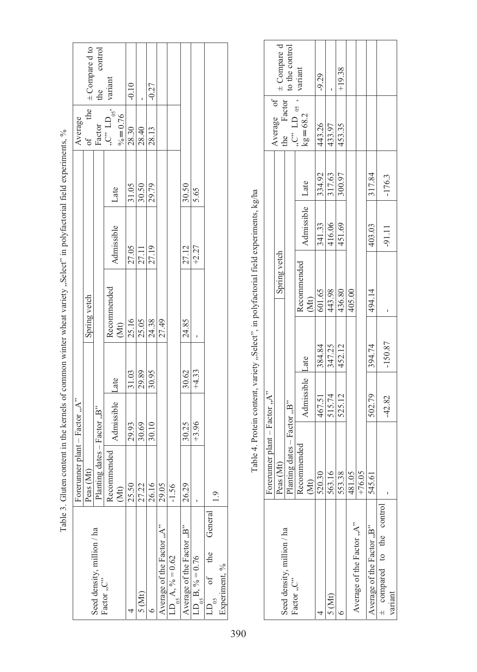|                                                    |                                     |            |         | .<br>.              |            |       |                               |                    |
|----------------------------------------------------|-------------------------------------|------------|---------|---------------------|------------|-------|-------------------------------|--------------------|
|                                                    | Forerunner plant $-$ Factor " $A$ " |            |         |                     |            |       | Average                       |                    |
|                                                    | Peas (Mt)                           |            |         | Spring vetch        |            |       | the<br>$\sigma f$             | $\pm$ Compare d to |
| Seed density, million / ha                         | Planting dates - Factor "B"         |            |         |                     |            |       | Factor                        | control            |
| Factor "C"                                         | Recommended<br>(Mt)                 | Admissible | Late    | Recommended<br>(Mt) | Admissible | Late  | , C" $LD_{05'}$<br>$% = 0.76$ | the<br>variant     |
|                                                    | 25.50                               | 29.93      | 31.03   | 25.16               | 27.05      | 31.05 | 28.30                         | $-0.10$            |
| 5 (Mt)                                             | 27.22                               | 30.69      | 29.89   | 25.05               | 27.11      | 30.50 | 28.40                         |                    |
|                                                    | 26.16                               | 30.10      | 30.95   | 24.38               | 27.19      | 29.79 | 28.13                         | $-0.27$            |
| Average of the Factor "A"                          | 29.05                               |            |         | 27.49               |            |       |                               |                    |
| $LD_{0.5} A, \% = 0.62$                            | $-1.56$                             |            |         |                     |            |       |                               |                    |
| Average of the Factor, B"                          | 26.29                               | 30.25      | 30.62   | 24.85               | 27.12      | 30.50 |                               |                    |
| $LD_{0.5} B, \% = 0.76$                            |                                     | $+3.96$    | $+4.33$ |                     | $+2.27$    | 5.65  |                               |                    |
| of the General<br>Experiment, %<br>$\overline{05}$ |                                     |            |         |                     |            |       |                               |                    |
|                                                    |                                     |            |         |                     |            |       |                               |                    |

Table 3. Gluten content in the kernels of common winter wheat variety, select" in polyfactorial field experiments, % Table 3. Gluten content in the kernels of common winter wheat variety "Select" in polyfactorial field experiments, %

Table 4. Protein content, variety "Select", in polyfactorial field experiments, kg/ha Table 4. Protein content, variety "Select", in polyfactorial field experiments, kg/ha

|                               |                                                                                                                                   |                             | variant                                                                          | $-9.29$              |        | $+19.38$ |        |                           |                           |                                      |
|-------------------------------|-----------------------------------------------------------------------------------------------------------------------------------|-----------------------------|----------------------------------------------------------------------------------|----------------------|--------|----------|--------|---------------------------|---------------------------|--------------------------------------|
|                               | Average of $\left  \pm \text{Compare } d \right $<br>$\left  \text{the } \right $ Factor $\left  \text{ to the control } \right $ |                             | $\begin{bmatrix} 1, C^{3} & \text{LD} & 0.5 \\ \text{kg} & = 68.2 \end{bmatrix}$ | 443.26               | 433.97 | 453.35   |        |                           |                           |                                      |
|                               |                                                                                                                                   |                             | Late                                                                             | 334.92               | 317.63 | 300.97   |        |                           | 317.84                    | $-176.3$                             |
|                               |                                                                                                                                   |                             | Admissible                                                                       | 341.33               | 416.06 | 451.69   |        |                           | 403.03                    | -91.11                               |
|                               | Spring vetch                                                                                                                      |                             | Recommended<br>(Mt)                                                              | 601.65               | 443.98 | 436.80   | 405.00 |                           | 494.14                    |                                      |
|                               |                                                                                                                                   |                             | Late                                                                             | 384.84               | 347.25 | 452.12   |        |                           | 394.74                    | $-150.87$                            |
|                               |                                                                                                                                   |                             | Admissible                                                                       | 467.51               | 515.74 | 525.12   |        |                           | 502.79                    | $-42.82$                             |
| Forerunner plant - Factor "A" | Peas (Mt)                                                                                                                         | Planting dates - Factor "B" | Recommended<br>İM                                                                | $\ddot{.}30$<br>520. | 563.16 | 553.38   | 481.05 | $+76.05$                  | 545.61                    |                                      |
|                               |                                                                                                                                   | Seed density, million / ha  | Factor "C"                                                                       |                      | 5 (Mt) |          |        | Average of the Factor "A" | Average of the Factor "B" | + compared to the control<br>variant |